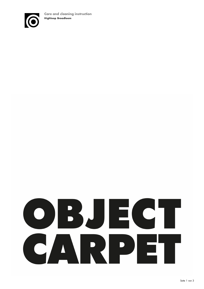

# OBJECT CARPE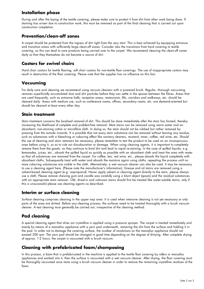# **Installation phase**

During and after the laying of the textile covering, please make sure to protect it from dirt from other work being done. If staining has arisen due to construction work, this must be removed as part of the final cleaning that is carried out upon construction completion.

# **Prevention/clean-off zones**

A carpet should be protected from the ingress of dirt right from the very start. This is best achieved by equipping entrance and transition areas with sufficiently large clean-off zones. Consider also the transitions from hard covering to textile covering, as this can lead to care products being carried over to the carpet. We recommend cleaning the clean-off zones daily so that they themselves do not become a source of dirt.

### **Castors for swivel chairs**

Hard chair castors for textile flooring, soft chair castors for non-textile floor coverings. The use of inappropriate castors may result in destruction of the floor covering. Please note that the supplier has no influence on this fact.

### **Vacuuming**

For daily care and cleaning we recommend using vacuum cleaners with a powered brush. Regular, thorough vacuuming removes superficially accumulated dust and dirt particles before they can settle in the spaces between the fibres. Areas that are used frequently, such as entrance halls, reception areas, restaurants, lifts, corridors and walkways, etc. should be cleaned daily. Areas with medium use, such as conference rooms, offices, secondary rooms, etc. are demand-oriented but should be cleaned at least every other day.

### **Stain treatment**

Stain treatment concerns the localised removal of dirt. This should be done immediately after the stain has formed, thereby increasing the likelihood of complete and problem-free removal. Most stains can be removed using warm water and an absorbent, non-staining cotton or microfibre cloth. In doing so, the stain should not be rubbed but rather removed by pressing from the outside inwards. It is possible that not every stain substance can be removed without leaving any residue, such as substances with a bleaching or colouring effect like sanitary cleaners, mustard, toner, coffee, red wine, etc. Should the use of cleaning and stain removers be necessary, please remember to test the product to be used on an inconspicuous area before using it, so as to rule out discolouration or damage. When using cleaning agents, it is important to completely remove them from the goods, as they continue to bind dirt and lead to rapid re-staining. In the case of spilled liquids, e.g. lemonades, juices, etc., absorb the spilled liquid as quickly as possible with an absorbent cloth and treat the area with water so that all substances are removed from the carpet. For coffee, tea, red wine, etc., please absorb the liquid completely with absorbent cloths. Subsequently treat with water and absorb the moisture again using cloths, repeating the process until no more colouring substances are visible in the cloth. Alternatively, a wet vacuum cleaner can also be used. It may be necessary to use a cleaning agent here. (Please note the manufacturer's information). Grease and oil stains are removed using a solvent-based cleaning agent (e.g. isopropanol). Never apply solvent or cleaning agent directly to the stain, please always use a cloth. Please remove chewing gum and candle wax carefully using a blunt object (spoon) and the residual substances with an appropriate stain remover. Old, dried-in and unknown stains should first be treated like water-soluble stains, only if this is unsuccessful please use cleaning agents as described.

# **Interim or surface cleaning**

Surface cleaning comprises cleaning in the upper nap area. It is used when intensive cleaning is not yet necessary or only parts of the area are dirtied. Before any cleaning process, the surfaces need to be treated thoroughly with a brush vacuum cleaner. A test cleaning must generally be carried out, irrespective of the cleaning method.

# **Pad cleaning**

A special cleaning agent that dries out crystalline is applied using a pressure sprayer. The carpet is treated immediately and evenly by means of a monodisc appliance with a yarn pad underneath, removing the dirt from the surface and holding it in the pad. In order not to damage the covering surface, the number of revolutions on the monodisc appliance should not exceed 200 rpm. The yarn pad should be changed in good time depending on the degree of dirtying. After complete drying of approx. 1-2 hours, the carpet is vacuumed with a brush vacuum.

# **Cleaning with prefabricated foam/shampooing**

In this process, a foam that is prefabricated in the machine is applied to the textile floor covering by rollers or monodisc appliances and worked into it, then the surface is vacuumed with a wet vacuum cleaner. After drying, the floor covering must be thoroughly vacuumed once more using a brush vacuum cleaner in order to remove the remaining crystalline residues of the foam.